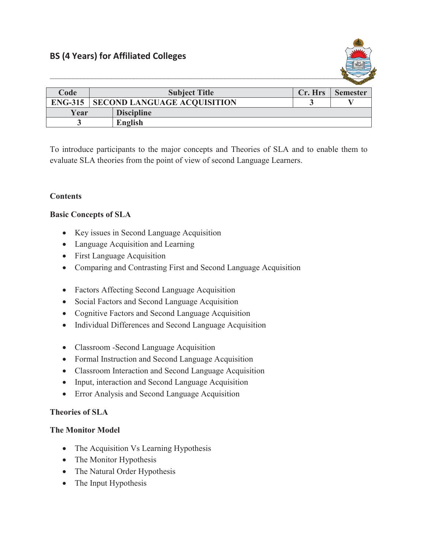

| Code           | <b>Subject Title</b>               |                   | Cr. Hrs | <b>Semester</b> |
|----------------|------------------------------------|-------------------|---------|-----------------|
| <b>ENG-315</b> | <b>SECOND LANGUAGE ACQUISITION</b> |                   |         |                 |
| Year           |                                    | <b>Discipline</b> |         |                 |
|                |                                    | English           |         |                 |

To introduce participants to the major concepts and Theories of SLA and to enable them to evaluate SLA theories from the point of view of second Language Learners.

# **Contents**

## **Basic Concepts of SLA**

- Key issues in Second Language Acquisition
- Language Acquisition and Learning
- First Language Acquisition
- Comparing and Contrasting First and Second Language Acquisition
- Factors Affecting Second Language Acquisition
- Social Factors and Second Language Acquisition
- Cognitive Factors and Second Language Acquisition
- Individual Differences and Second Language Acquisition
- Classroom -Second Language Acquisition
- Formal Instruction and Second Language Acquisition
- Classroom Interaction and Second Language Acquisition
- Input, interaction and Second Language Acquisition
- Error Analysis and Second Language Acquisition

## **Theories of SLA**

## **The Monitor Model**

- The Acquisition Vs Learning Hypothesis
- The Monitor Hypothesis
- The Natural Order Hypothesis
- The Input Hypothesis